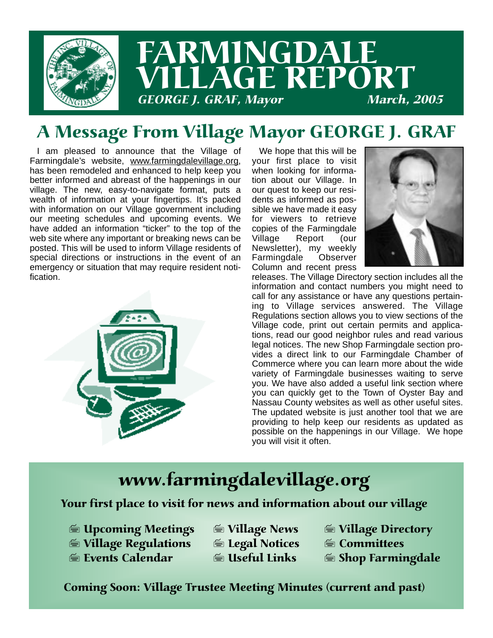

## A Message From Village Mayor GEORGE J. GRAF

I am pleased to announce that the Village of Farmingdale's website, www.farmingdalevillage.org, has been remodeled and enhanced to help keep you better informed and abreast of the happenings in our village. The new, easy-to-navigate format, puts a wealth of information at your fingertips. It's packed with information on our Village government including our meeting schedules and upcoming events. We have added an information "ticker" to the top of the web site where any important or breaking news can be posted. This will be used to inform Village residents of special directions or instructions in the event of an emergency or situation that may require resident notification.



We hope that this will be your first place to visit when looking for information about our Village. In our quest to keep our residents as informed as possible we have made it easy for viewers to retrieve copies of the Farmingdale Village Report (our Newsletter), my weekly Farmingdale Observer Column and recent press



releases. The Village Directory section includes all the information and contact numbers you might need to call for any assistance or have any questions pertaining to Village services answered. The Village Regulations section allows you to view sections of the Village code, print out certain permits and applications, read our good neighbor rules and read various legal notices. The new Shop Farmingdale section provides a direct link to our Farmingdale Chamber of Commerce where you can learn more about the wide variety of Farmingdale businesses waiting to serve you. We have also added a useful link section where you can quickly get to the Town of Oyster Bay and Nassau County websites as well as other useful sites. The updated website is just another tool that we are providing to help keep our residents as updated as possible on the happenings in our Village. We hope you will visit it often.

## www.farmingdalevillage.org

#### Your first place to visit for news and information about our village

- 7 Upcoming Meetings 7 Village News 7 Village Directory
- **19 Village Regulations 1 GM Legal Notices<br>19 Events Calendar 1 GM GM Links**
- -
- 
- 
- $\equiv$  Shop Farmingdale

Coming Soon: Village Trustee Meeting Minutes (current and past)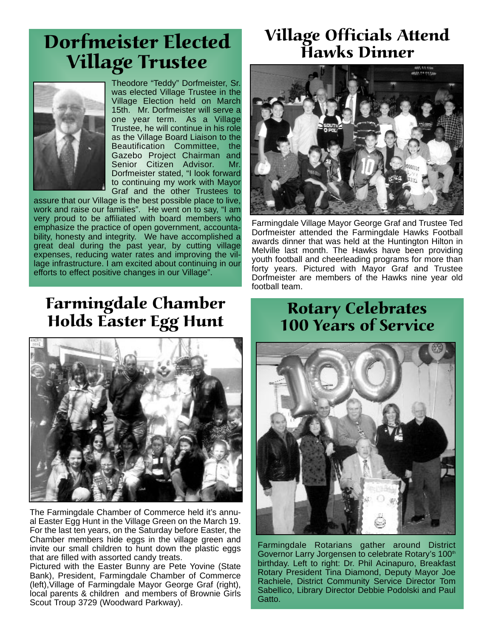## Dorfmeister Elected Village Trustee



Theodore "Teddy" Dorfmeister, Sr. was elected Village Trustee in the Village Election held on March 15th. Mr. Dorfmeister will serve a one year term. As a Village Trustee, he will continue in his role as the Village Board Liaison to the Beautification Committee, the Gazebo Project Chairman and Senior Citizen Advisor. Mr. Dorfmeister stated, "I look forward to continuing my work with Mayor Graf and the other Trustees to

assure that our Village is the best possible place to live, work and raise our families". He went on to say, "I am very proud to be affiliated with board members who emphasize the practice of open government, accountability, honesty and integrity. We have accomplished a great deal during the past year, by cutting village expenses, reducing water rates and improving the village infrastructure. I am excited about continuing in our efforts to effect positive changes in our Village".

### Village Officials Attend Hawks Dinner



Farmingdale Village Mayor George Graf and Trustee Ted Dorfmeister attended the Farmingdale Hawks Football awards dinner that was held at the Huntington Hilton in Melville last month. The Hawks have been providing youth football and cheerleading programs for more than forty years. Pictured with Mayor Graf and Trustee Dorfmeister are members of the Hawks nine year old football team.

## Farmingdale Chamber Holds Easter Egg Hunt



The Farmingdale Chamber of Commerce held it's annual Easter Egg Hunt in the Village Green on the March 19. For the last ten years, on the Saturday before Easter, the Chamber members hide eggs in the village green and invite our small children to hunt down the plastic eggs that are filled with assorted candy treats.

Pictured with the Easter Bunny are Pete Yovine (State Bank), President, Farmingdale Chamber of Commerce (left),Village of Farmingdale Mayor George Graf (right), local parents & children and members of Brownie Girls Scout Troup 3729 (Woodward Parkway).

#### Rotary Celebrates 100 Years of Service



Farmingdale Rotarians gather around District Governor Larry Jorgensen to celebrate Rotary's 100<sup>th</sup> birthday. Left to right: Dr. Phil Acinapuro, Breakfast Rotary President Tina Diamond, Deputy Mayor Joe Rachiele, District Community Service Director Tom Sabellico, Library Director Debbie Podolski and Paul Gatto.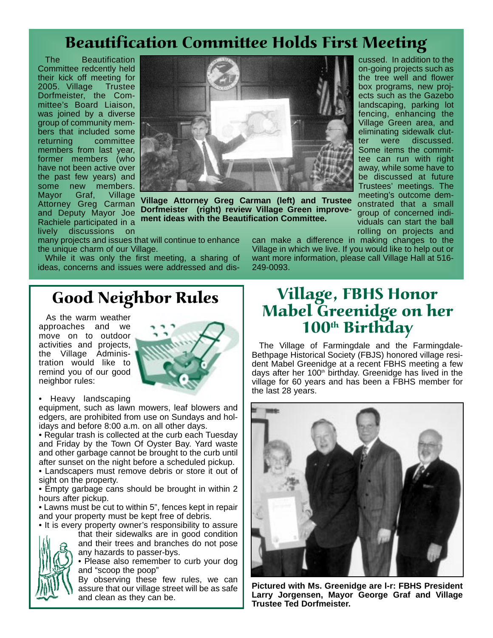## Beautification Committee Holds First Meeting

The Beautification Committee redcently held their kick off meeting for 2005. Village Trustee Dorfmeister, the Committee's Board Liaison, was joined by a diverse group of community members that included some returning committee members from last year, former members (who have not been active over the past few years) and some new members. Mayor Graf, Village Attorney Greg Carman and Deputy Mayor Joe Rachiele participated in a lively discussions on



**Village Attorney Greg Carman (left) and Trustee Dorfmeister (right) review Village Green improvement ideas with the Beautification Committee.**

away, while some have to be discussed at future Trustees' meetings. The meeting's outcome demonstrated that a small group of concerned individuals can start the ball rolling on projects and

cussed. In addition to the on-going projects such as the tree well and flower box programs, new projects such as the Gazebo landscaping, parking lot fencing, enhancing the Village Green area, and eliminating sidewalk clutter were discussed. Some items the committee can run with right

many projects and issues that will continue to enhance the unique charm of our Village.

While it was only the first meeting, a sharing of ideas, concerns and issues were addressed and discan make a difference in making changes to the Village in which we live. If you would like to help out or want more information, please call Village Hall at 516- 249-0093.

### Good Neighbor Rules

As the warm weather approaches and we move on to outdoor activities and projects, the Village Administration would like to remind you of our good neighbor rules:



• Heavy landscaping

equipment, such as lawn mowers, leaf blowers and edgers, are prohibited from use on Sundays and holidays and before 8:00 a.m. on all other days.

• Regular trash is collected at the curb each Tuesday and Friday by the Town Of Oyster Bay. Yard waste and other garbage cannot be brought to the curb until after sunset on the night before a scheduled pickup.

• Landscapers must remove debris or store it out of sight on the property.

• Empty garbage cans should be brought in within 2 hours after pickup.

• Lawns must be cut to within 5", fences kept in repair and your property must be kept free of debris.

• It is every property owner's responsibility to assure that their sidewalks are in good condition



and their trees and branches do not pose any hazards to passer-bys.

• Please also remember to curb your dog and "scoop the poop"

By observing these few rules, we can assure that our village street will be as safe and clean as they can be.

### Village, FBHS Honor Mabel Greenidge on her 100<sup>th</sup> Birthday

The Village of Farmingdale and the Farmingdale-Bethpage Historical Society (FBJS) honored village resident Mabel Greenidge at a recent FBHS meeting a few days after her 100<sup>th</sup> birthday. Greenidge has lived in the village for 60 years and has been a FBHS member for the last 28 years.



**Pictured with Ms. Greenidge are l-r: FBHS President Larry Jorgensen, Mayor George Graf and Village Trustee Ted Dorfmeister.**